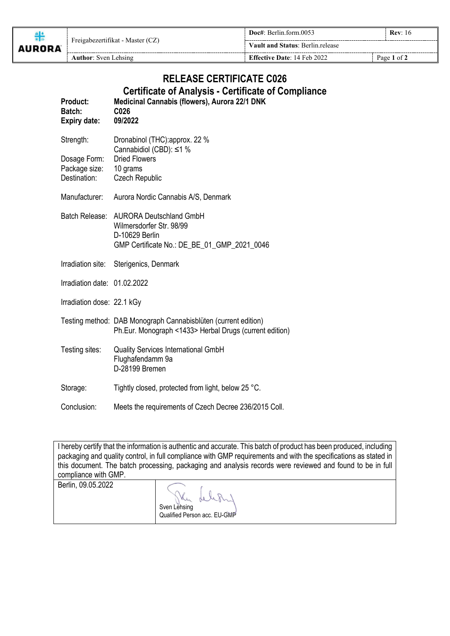| <b>AURORA</b> | Freigabezertifikat - Master (CZ) | Doc#: Berlin.form.0053<br><b>Rev:</b> 16 |             |
|---------------|----------------------------------|------------------------------------------|-------------|
|               |                                  | <b>Vault and Status: Berlin.release</b>  |             |
|               | <b>Author:</b> Sven Lehsing      | <b>Effective Date: 14 Feb 2022</b>       | Page 1 of 2 |

## **RELEASE CERTIFICATE C026 Certificate of Analysis - Certificate of Compliance**

| <b>Product:</b><br>Batch:<br><b>Expiry date:</b> | Medicinal Cannabis (flowers), Aurora 22/1 DNK<br>C <sub>026</sub><br>09/2022                                                |
|--------------------------------------------------|-----------------------------------------------------------------------------------------------------------------------------|
| Strength:                                        | Dronabinol (THC): approx. 22 %<br>Cannabidiol (CBD): ≤1 %                                                                   |
| Dosage Form:<br>Package size:<br>Destination:    | <b>Dried Flowers</b><br>10 grams<br><b>Czech Republic</b>                                                                   |
| Manufacturer:                                    | Aurora Nordic Cannabis A/S, Denmark                                                                                         |
| Batch Release:                                   | <b>AURORA Deutschland GmbH</b><br>Wilmersdorfer Str. 98/99<br>D-10629 Berlin<br>GMP Certificate No.: DE_BE_01_GMP_2021_0046 |
| Irradiation site:                                | Sterigenics, Denmark                                                                                                        |
| Irradiation date: 01.02.2022                     |                                                                                                                             |
| Irradiation dose: 22.1 kGy                       |                                                                                                                             |
|                                                  | Testing method: DAB Monograph Cannabisblüten (current edition)<br>Ph.Eur. Monograph <1433> Herbal Drugs (current edition)   |
| Testing sites:                                   | <b>Quality Services International GmbH</b><br>Flughafendamm 9a<br>D-28199 Bremen                                            |
| Storage:                                         | Tightly closed, protected from light, below 25 °C.                                                                          |
| Conclusion:                                      | Meets the requirements of Czech Decree 236/2015 Coll.                                                                       |

|                      | I hereby certify that the information is authentic and accurate. This batch of product has been produced, including |
|----------------------|---------------------------------------------------------------------------------------------------------------------|
|                      | packaging and quality control, in full compliance with GMP requirements and with the specifications as stated in    |
|                      | this document. The batch processing, packaging and analysis records were reviewed and found to be in full           |
| compliance with GMP. |                                                                                                                     |
| Berlin, 09.05.2022   |                                                                                                                     |
|                      | The Lelion                                                                                                          |

Sven Lehsing Qualified Person acc. EU-GMP